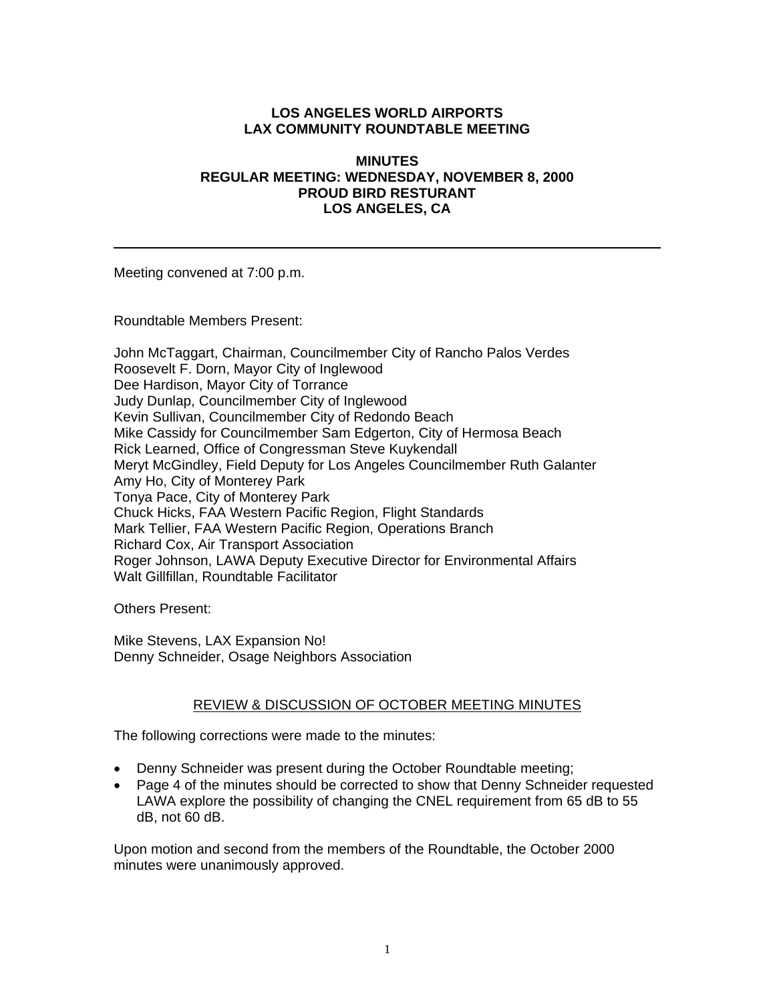## **LOS ANGELES WORLD AIRPORTS LAX COMMUNITY ROUNDTABLE MEETING**

### **MINUTES REGULAR MEETING: WEDNESDAY, NOVEMBER 8, 2000 PROUD BIRD RESTURANT LOS ANGELES, CA**

Meeting convened at 7:00 p.m.

Roundtable Members Present:

John McTaggart, Chairman, Councilmember City of Rancho Palos Verdes Roosevelt F. Dorn, Mayor City of Inglewood Dee Hardison, Mayor City of Torrance Judy Dunlap, Councilmember City of Inglewood Kevin Sullivan, Councilmember City of Redondo Beach Mike Cassidy for Councilmember Sam Edgerton, City of Hermosa Beach Rick Learned, Office of Congressman Steve Kuykendall Meryt McGindley, Field Deputy for Los Angeles Councilmember Ruth Galanter Amy Ho, City of Monterey Park Tonya Pace, City of Monterey Park Chuck Hicks, FAA Western Pacific Region, Flight Standards Mark Tellier, FAA Western Pacific Region, Operations Branch Richard Cox, Air Transport Association Roger Johnson, LAWA Deputy Executive Director for Environmental Affairs Walt Gillfillan, Roundtable Facilitator

Others Present:

Mike Stevens, LAX Expansion No! Denny Schneider, Osage Neighbors Association

#### REVIEW & DISCUSSION OF OCTOBER MEETING MINUTES

The following corrections were made to the minutes:

- Denny Schneider was present during the October Roundtable meeting;
- Page 4 of the minutes should be corrected to show that Denny Schneider requested LAWA explore the possibility of changing the CNEL requirement from 65 dB to 55 dB, not 60 dB.

Upon motion and second from the members of the Roundtable, the October 2000 minutes were unanimously approved.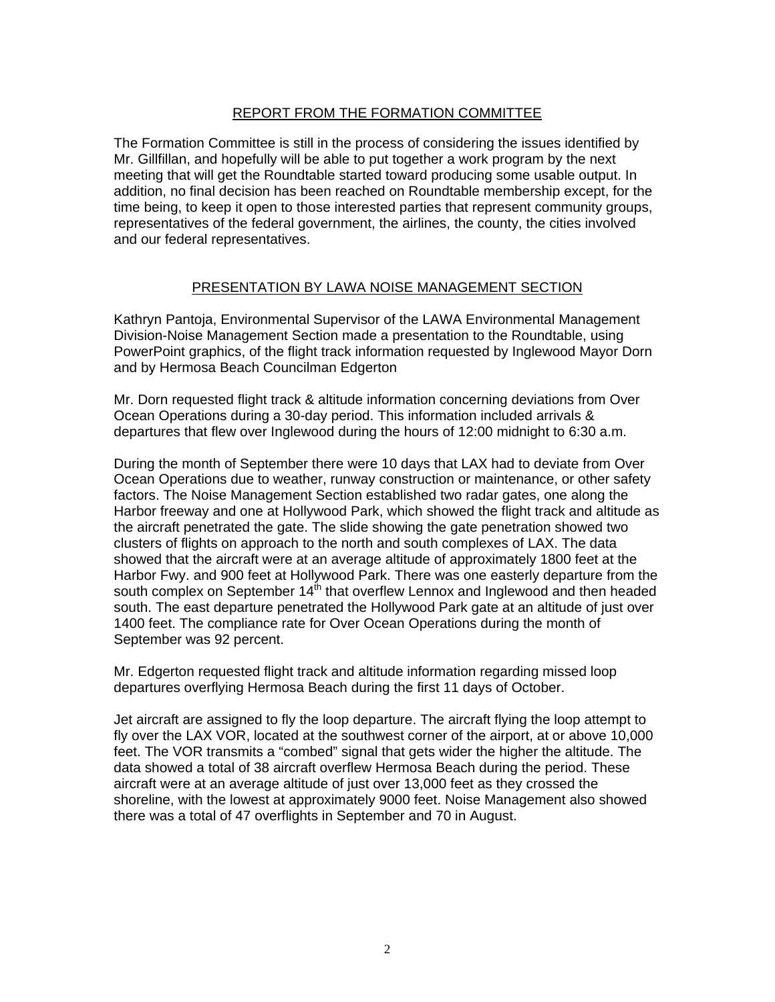## REPORT FROM THE FORMATION COMMITTEE

The Formation Committee is still in the process of considering the issues identified by Mr. Gillfillan, and hopefully will be able to put together a work program by the next meeting that will get the Roundtable started toward producing some usable output. In addition, no final decision has been reached on Roundtable membership except, for the time being, to keep it open to those interested parties that represent community groups, representatives of the federal government, the airlines, the county, the cities involved and our federal representatives.

## PRESENTATION BY LAWA NOISE MANAGEMENT SECTION

Kathryn Pantoja, Environmental Supervisor of the LAWA Environmental Management Division-Noise Management Section made a presentation to the Roundtable, using PowerPoint graphics, of the flight track information requested by Inglewood Mayor Dorn and by Hermosa Beach Councilman Edgerton

Mr. Dorn requested flight track & altitude information concerning deviations from Over Ocean Operations during a 30-day period. This information included arrivals & departures that flew over Inglewood during the hours of 12:00 midnight to 6:30 a.m.

During the month of September there were 10 days that LAX had to deviate from Over Ocean Operations due to weather, runway construction or maintenance, or other safety factors. The Noise Management Section established two radar gates, one along the Harbor freeway and one at Hollywood Park, which showed the flight track and altitude as the aircraft penetrated the gate. The slide showing the gate penetration showed two clusters of flights on approach to the north and south complexes of LAX. The data showed that the aircraft were at an average altitude of approximately 1800 feet at the Harbor Fwy. and 900 feet at Hollywood Park. There was one easterly departure from the south complex on September  $14<sup>th</sup>$  that overflew Lennox and Inglewood and then headed south. The east departure penetrated the Hollywood Park gate at an altitude of just over 1400 feet. The compliance rate for Over Ocean Operations during the month of September was 92 percent.

Mr. Edgerton requested flight track and altitude information regarding missed loop departures overflying Hermosa Beach during the first 11 days of October.

Jet aircraft are assigned to fly the loop departure. The aircraft flying the loop attempt to fly over the LAX VOR, located at the southwest corner of the airport, at or above 10,000 feet. The VOR transmits a "combed" signal that gets wider the higher the altitude. The data showed a total of 38 aircraft overflew Hermosa Beach during the period. These aircraft were at an average altitude of just over 13,000 feet as they crossed the shoreline, with the lowest at approximately 9000 feet. Noise Management also showed there was a total of 47 overflights in September and 70 in August.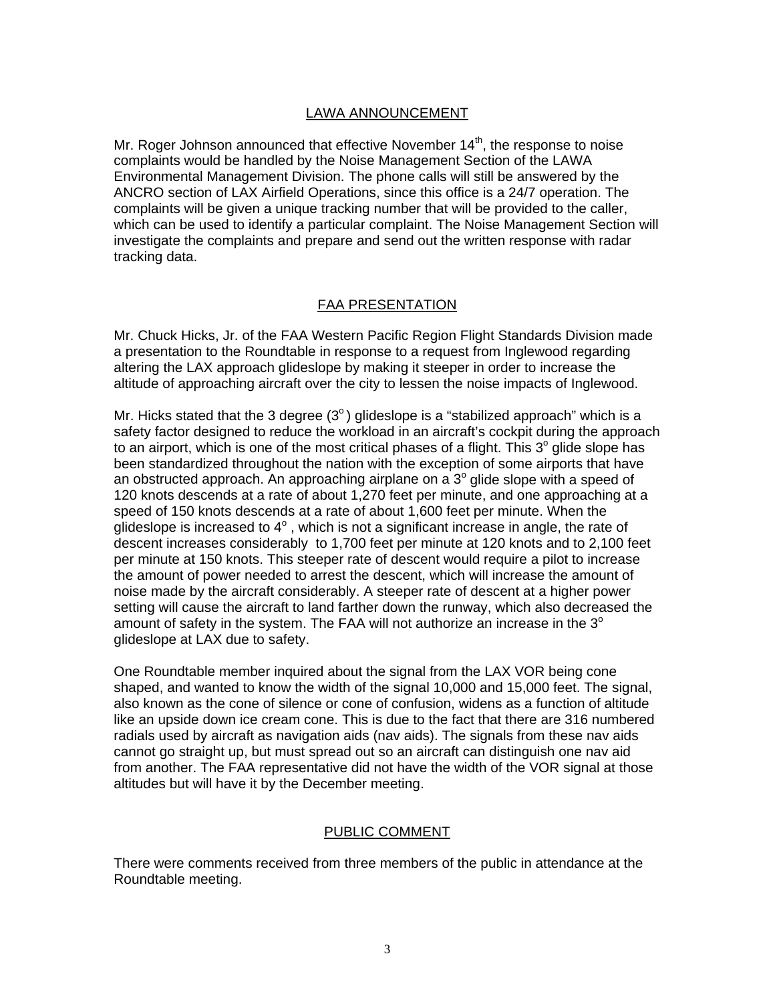### LAWA ANNOUNCEMENT

Mr. Roger Johnson announced that effective November  $14<sup>th</sup>$ , the response to noise complaints would be handled by the Noise Management Section of the LAWA Environmental Management Division. The phone calls will still be answered by the ANCRO section of LAX Airfield Operations, since this office is a 24/7 operation. The complaints will be given a unique tracking number that will be provided to the caller, which can be used to identify a particular complaint. The Noise Management Section will investigate the complaints and prepare and send out the written response with radar tracking data.

## FAA PRESENTATION

Mr. Chuck Hicks, Jr. of the FAA Western Pacific Region Flight Standards Division made a presentation to the Roundtable in response to a request from Inglewood regarding altering the LAX approach glideslope by making it steeper in order to increase the altitude of approaching aircraft over the city to lessen the noise impacts of Inglewood.

Mr. Hicks stated that the 3 degree  $(3^{\circ})$  glideslope is a "stabilized approach" which is a safety factor designed to reduce the workload in an aircraft's cockpit during the approach to an airport, which is one of the most critical phases of a flight. This  $3^\circ$  glide slope has been standardized throughout the nation with the exception of some airports that have an obstructed approach. An approaching airplane on a  $3^{\circ}$  glide slope with a speed of 120 knots descends at a rate of about 1,270 feet per minute, and one approaching at a speed of 150 knots descends at a rate of about 1,600 feet per minute. When the glideslope is increased to  $4^\circ$ , which is not a significant increase in angle, the rate of descent increases considerably to 1,700 feet per minute at 120 knots and to 2,100 feet per minute at 150 knots. This steeper rate of descent would require a pilot to increase the amount of power needed to arrest the descent, which will increase the amount of noise made by the aircraft considerably. A steeper rate of descent at a higher power setting will cause the aircraft to land farther down the runway, which also decreased the amount of safety in the system. The FAA will not authorize an increase in the  $3^\circ$ glideslope at LAX due to safety.

One Roundtable member inquired about the signal from the LAX VOR being cone shaped, and wanted to know the width of the signal 10,000 and 15,000 feet. The signal, also known as the cone of silence or cone of confusion, widens as a function of altitude like an upside down ice cream cone. This is due to the fact that there are 316 numbered radials used by aircraft as navigation aids (nav aids). The signals from these nav aids cannot go straight up, but must spread out so an aircraft can distinguish one nav aid from another. The FAA representative did not have the width of the VOR signal at those altitudes but will have it by the December meeting.

## PUBLIC COMMENT

There were comments received from three members of the public in attendance at the Roundtable meeting.